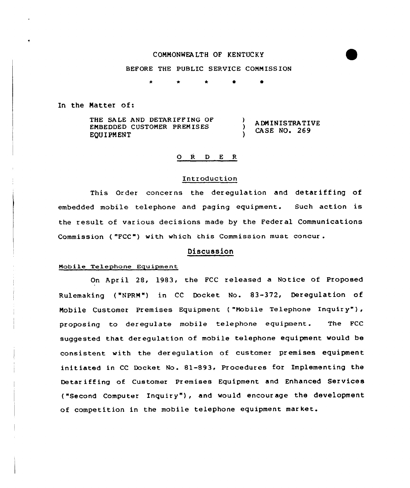# COMMONWEALTH OF KENTUCKY

### BEFORE THE PUBLIC SERVICE COMMISSION

\* 0  $\bullet$ 

In the Natter of:

THE SALE AND DETARIFF ING OF EMBEDDED CUSTOMER PREMISES EQUIPMENT A DM IN ISTRATIVE CASE NO. 269

## 0 <sup>R</sup> <sup>D</sup> E <sup>R</sup>

#### Introduction

This Order concerns the deregulation and detariffing of embedded mobile telephone and paging equipment. Such action is the result of various decisions made by the Federal Commun ications Commission ( "FCC") with which this Commission must concur .

# Discussion

## Mobile Telephone Eguipment

On April 28, 1983, the FCC released a Notice of Proposed Rulemaking ( "NPRM") in CC Docket No. 83-372, Deregulation of Mobile Customer Premises Equipment ("Mobile Telephone Inquiry"), proposing to deregulate mobile telephone equipment. The FCC suggested that deregulation of mobile telephone equipment would be consistent with the deregulation of customer premises equipment initiated in CC Docket No. 81-893, Procedures for Implementing the Detariffing of Customer Premises Equipment and Enhanced Services ("Second Computer Inquiry" ), and would encour age the development of competition in the mobile telephone equipment market.

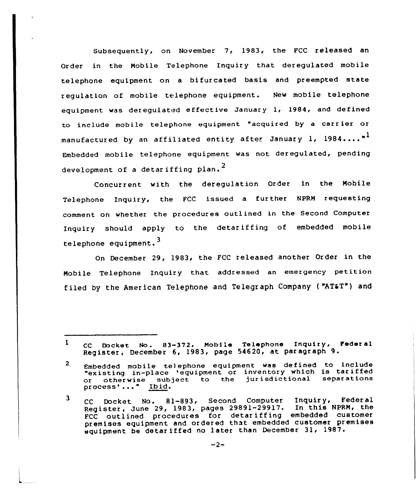Subsequently, on November 7, 1983, the FCC released an Order in the Mobile Telephone Inquiry that deregulated mobile telephone equipment on <sup>a</sup> bifurcated basis and preempted state regulation of mobile telephone equipment,. New mobile telephone equipment was deregulated effective January 1, 1984, and defined to include mobile telephone equipment "acquired by a carrier or manufactured by an affiliated entity after January 1, 1984...."<sup>1</sup> Embedded mobile telephone equipment was not deregulated, pending development of a detariffing plan.<sup>2</sup>

Concurrent with the deregulation Order in the Mobile Telephone Inquiry, the FCC issued a further NPRM requesting comment on whether the procedures outlined in the Second Computer Inquiry should apply to the detariffing of embedded mobile telephone equipment.<sup>3</sup>

On December 29, 1983, the FCC released another Order in the Mobile Telephone Inquiry that addressed an emergency petition filed by the American Telephone and Telegraph Company ("AT&T") and

 $\mathbf{1}$ CC Docket No. 83-372, Mobile Telephone Inquiry, Federal Register, December 6, 1983, page 54620, at paragraph 9.

 $\overline{2}$ Embedded mobile tej ephone equipment was defined to include "existing in-place 'equipment or inventory which is tariffed<br>or otherwise subject to the jurisdictional separations or otherwise subject to the jurisdictional separations<br>process'..." Ibid.

<sup>3</sup> CC Docket No. 81-893, Second Computer Inquiry, Federal Register, June 29, 1983, pages 29891-29917. In this NPRM, the FCC outlined procedures for detariffing embedded customer premises equipment and ordered that embedded customer premises equipment be detar iffed no later than December 31, 1987.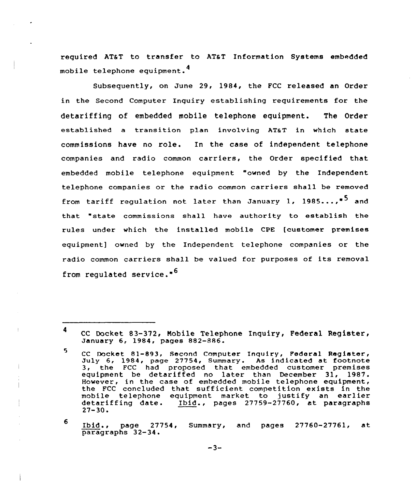required AT&T to transfer to AT&T Information Systems embedded mobile telephone equipment. <sup>4</sup>

Subsequently, on June 29, 1984, the FCC released an Order in the Second Computer Inquiry establishing requirements for the detariffing of embedded mobile telephone equipment. The Order established a transition plan involving ATaT in which state commissions have no role. In the case of independent telephone companies and radio common carriers, the Order specified that embedded mobile telephone equipment "owned by the Independent telephone companies or the radio common carriers shall be removed from tariff regulation not later than January 1, 1985....<sup>\*5</sup> and that "state commissions sha11 have authority to establish the rules under which the installed mobile CPE [customer premises equipment] owned by the Independent telephone companies or the radio common carriers shall be valued for purposes of its removal from regulated service."<sup>6</sup>

<sup>4</sup> CC Docket 83-372, Nobile Telephone Inquiry, Federal Register, January 6, 1984, paqes 882-886.

<sup>5.</sup> CC Docket 81-893, Second Computer Inquiry, Federal Register, July 6, 1984, page 27754, Summary. As indicated at footnote 3, the FCC had proposed that embedded customer premise equipment be detariffed no later than December 31, 1987. However, in the case of embedded mobile telephone equipment, the FCC concluded that sufficient competition exists in the mobile telephone equipment market to justify an earlier detariffing date. Ibid., pages 27759-27760, at paragraphs<br>27-30.

<sup>6</sup> Ibid., page 27754, Summary, and pages 27760-27761, at paragraphs 32-34.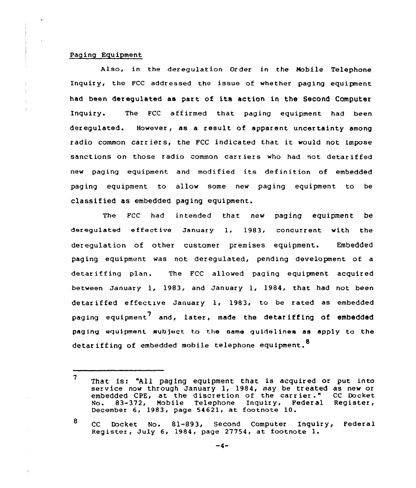## Paging Equipment

 $\overline{1}$ 

Also, in the deregulation Order in the Mobile Telephone Inquiry, the FCC addressed the issue of whether paging equipment had been deregulated as part. of its action in the Second Computer Inquiry. The FCC affirmed that paging equipment had been deregulated. However, as a result of apparent uncertainty among radio common carriers, the FCC indicated that it would not impose sanctions on those radio common carriers who had not detariffed new paging equipment and modified its definition of embedded paging equipment to al1ow some new paging equipment to be classified as embedded paging equipment.

The Fcc had intended that new paging equipment be deregulated effective January 1, 1983, concurrent with the deregulation of other customer premises equipment. Embedded paging equipment was not deregulated, pending development of a detar iffing plan. The FCC allowed paging equipment acquired between January 1, 1983, and January 1, 1984, that. had not been detariffed effective January 1, 1983, to be rated as embedded paging equipment<sup>7</sup> and, later, made the detariffing of embedded paging equipment huh)ect to the same guidel ines as apply to the detariffing of embedded mobile telephone equipment.<sup>0</sup>

<sup>7</sup> That is: "All paging equipment that is acquired or put into service now through January 1, 1984, may be treated as new or<br>embedded CPE, at the discretion of the carrier." CC Docket embedded CPE, at the discretion of the carrier." CC Docket<br>No. 83-372, Mobile Telephone Inquiry, Federal Register, December 6, 1983, page 54621, at footnote 10.

<sup>8</sup> CC Docket No. 81-893, Second Computer Inquiry, Federal Register, July 6, 1984, page 27754, at footnote l.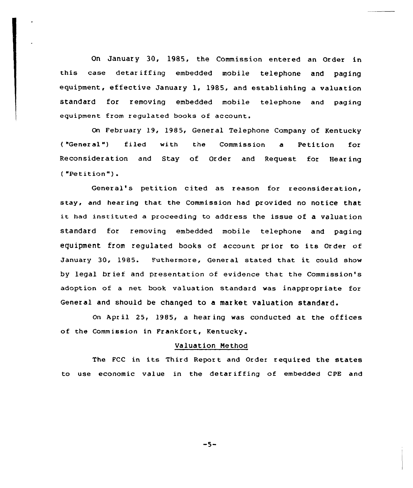On January 30, 1985, the Commission entered an Order in this case detar iffing embedded mobile telephone and paging equipment, effective January l, 1985, and establishing <sup>a</sup> valuation standard for removing embedded mobile telephone and paging equipment from regulated books of account.

On February 19, 1985, General Telephone Company of Kentucky ("General") filed with the Commission a Petition for Reconsideration and Stay of Order and Request for Hearing ( "Petition" ) .

General's petition cited as reason for reconsideration, stay, and hear ing that the Commission had provided no notice that it had instituted <sup>a</sup> proceeding to address the issue of <sup>a</sup> valuation standard for removing embedded mobile telephone and paging equipment from regulated books of account pr ior to its Order of January 30, 1985. Futhermore, General stated that it could show by legal brief and presentation of evidence that the Commission's adoption of a net book valuation standard was inappropriate for General and should be changed to a market valuation standard.

On Apr il 25, 1985, <sup>a</sup> hear ing was conducted at the offices of the Commission in Frankfort, Kentucky.

## Valuation Method

The FCC in its Third Report and Order required the states to use economic value in the detar iffing of embedded CPE and

 $-5-$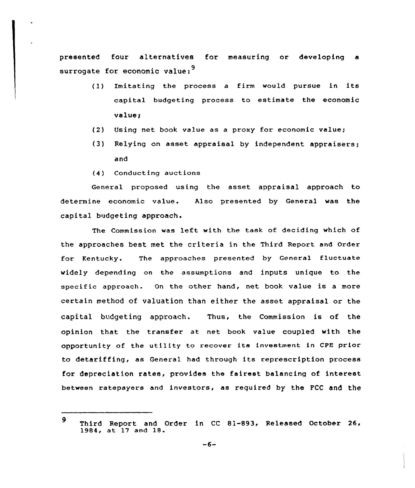presented four alternatives for measuring or developing a surrogate for economic value:<sup>9</sup>

- (1) Imitating the process <sup>a</sup> firm would pursue in its capital budgeting process to estimate the economic value;
- (2) Using net book value as a proxy for economic value;
- (3) Relying on asset appraisal by independent appraisers; and
- (4 ) Conduct ing auctions

General proposed using the asset appraisal approach to determine economic value. Also presented by General was the capital budgeting approach.

The Commission was left with the task of deciding which of the approaches best met the criteria in the Third Report and Order for Kentucky. The approaches presented by General fluctuate widely depending on the assumptions and inputs unique to the specific approach. On the other hand, net book value is <sup>a</sup> more certain method of valuation than either the asset appraisal or the capital budgeting approach. Thus, the Commission is of the opinion that the transfer at net book value coupled with the opportunity of the utility to recover its investment in CPE prior to detariffing, as General had through its represcription process for depreciation rates, provides the fairest balancing of interest between ratepayers and investors, as required by the FCC and the

<sup>9</sup> Third Report and Order in CC 81-893, Released October 26, 1984, at 17 and 18.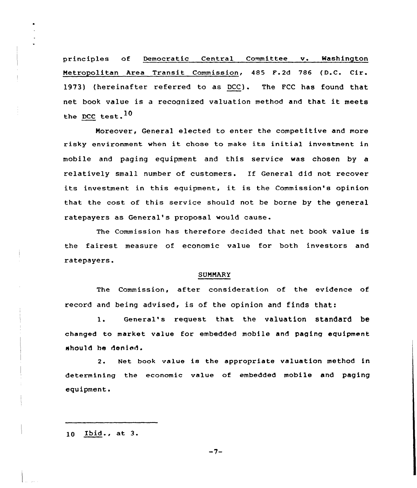principles of Democratic Central Committee v. Washington Metropolitan Area Transit Commission, 485 F.2d 786 (D.C. Cir. 1973) (hereinafter referred to as DCC). The FCC has found that net book value is <sup>a</sup> recognized valuation method arid that it meets the DCC test.<sup>10</sup>

Moreover, General elected to enter the competitive and more risky environment when it chose to make its initial investment in mobile and paging equipment and this service was chosen by a relatively small number of customers. If General did not recover its investment in this equipment, it is the Commission's opinion that the cost of this service should not be borne by the general ratepayers as General's proposal would cause.

The Commission has therefore decided that net book value is the fairest measure of economic value for both investors and ratepayers.

### SUMMARY

The Commission, after consideration of the evidence of record and being advised, is of the opinion and finds that:

1. General's request that the valuation standard be changed to market value for embedded mobile and paging equipment should be denied.

2. Net book value is the appropriate valuation method in determining the economic value of embedded mobile and paging equipment.

 $10$  Ibid., at  $3$ .

 $-7-$